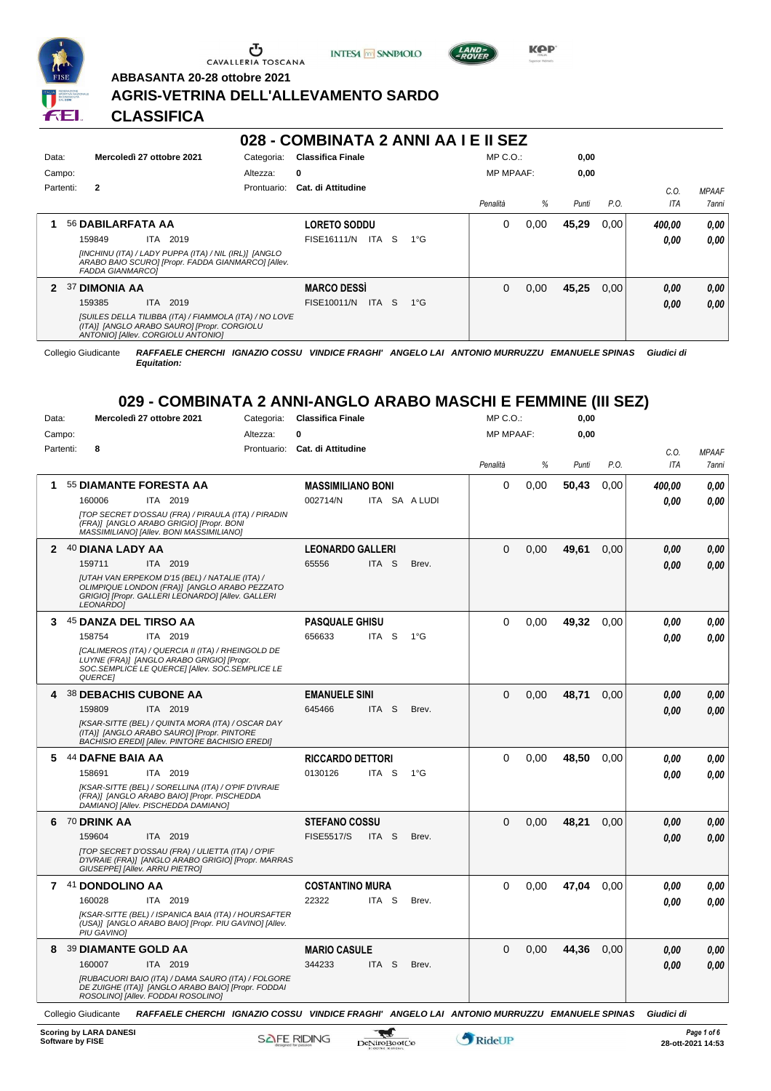

Ⴠ CAVALLERIA TOSCANA





**Kep** 

**ABBASANTA 20-28 ottobre 2021 AGRIS-VETRINA DELL'ALLEVAMENTO SARDO**

|           |                         |                                                                                                                                                           |            | 028 - COMBINATA 2 ANNI AA I E II SEZ |                  |               |                  |      |       |      |            |                                                                       |
|-----------|-------------------------|-----------------------------------------------------------------------------------------------------------------------------------------------------------|------------|--------------------------------------|------------------|---------------|------------------|------|-------|------|------------|-----------------------------------------------------------------------|
| Data:     |                         | Mercoledì 27 ottobre 2021                                                                                                                                 | Categoria: | <b>Classifica Finale</b>             |                  |               | $MP C. O.$ :     |      | 0,00  |      |            |                                                                       |
| Campo:    |                         |                                                                                                                                                           | Altezza:   | 0                                    |                  |               | <b>MP MPAAF:</b> |      | 0,00  |      |            |                                                                       |
| Partenti: | $\mathbf{2}$            |                                                                                                                                                           |            | Prontuario: Cat. di Attitudine       |                  |               |                  |      |       |      | C.O.       | <b>MPAAF</b>                                                          |
|           |                         |                                                                                                                                                           |            |                                      |                  |               | Penalità         | %    | Punti | P.O. | ITA        | 7anni                                                                 |
| 1         | 56 DABILARFATA AA       |                                                                                                                                                           |            | <b>LORETO SODDU</b>                  |                  |               | 0                | 0,00 | 45,29 | 0,00 | 400.00     | 0,00                                                                  |
|           | 159849                  | ITA 2019                                                                                                                                                  |            | FISE16111/N ITA S                    |                  | $1^{\circ}G$  |                  |      |       |      | 0.00       | 0,00                                                                  |
|           | <b>FADDA GIANMARCO]</b> | [INCHINU (ITA) / LADY PUPPA (ITA) / NIL (IRL)] [ANGLO<br>ARABO BAIO SCURO] [Propr. FADDA GIANMARCO] [Allev.                                               |            |                                      |                  |               |                  |      |       |      |            |                                                                       |
|           | 2 37 DIMONIA AA         |                                                                                                                                                           |            | <b>MARCO DESSI</b>                   |                  |               | $\Omega$         | 0,00 | 45,25 | 0,00 | 0.00       | 0.00                                                                  |
|           | 159385                  | ITA 2019                                                                                                                                                  |            | FISE10011/N ITA S                    |                  | $1^{\circ}G$  |                  |      |       |      | 0.00       | 0,00                                                                  |
|           |                         | [SUILES DELLA TILIBBA (ITA) / FIAMMOLA (ITA) / NO LOVE<br>(ITA)] [ANGLO ARABO SAURO] [Propr. CORGIOLU<br>ANTONIO] [Allev. CORGIOLU ANTONIO]               |            |                                      |                  |               |                  |      |       |      |            |                                                                       |
|           | Collegio Giudicante     | RAFFAELE CHERCHI IGNAZIO COSSU VINDICE FRAGHI' ANGELO LAI ANTONIO MURRUZZU EMANUELE SPINAS<br>Equitation:                                                 |            |                                      |                  |               |                  |      |       |      | Giudici di |                                                                       |
|           |                         | 029 - COMBINATA 2 ANNI-ANGLO ARABO MASCHI E FEMMINE (III SEZ)                                                                                             |            |                                      |                  |               |                  |      |       |      |            |                                                                       |
| Data:     |                         | Mercoledì 27 ottobre 2021                                                                                                                                 |            | Categoria: Classifica Finale         |                  |               | $MP C. O.$ :     |      | 0,00  |      |            |                                                                       |
| Campo:    |                         |                                                                                                                                                           | Altezza:   | 0                                    |                  |               | <b>MP MPAAF:</b> |      | 0,00  |      |            |                                                                       |
| Partenti: | 8                       |                                                                                                                                                           |            | Prontuario: Cat. di Attitudine       |                  |               |                  |      |       |      | C.O.       | <b>MPAAF</b>                                                          |
|           |                         |                                                                                                                                                           |            |                                      |                  |               |                  |      |       |      |            |                                                                       |
|           |                         |                                                                                                                                                           |            |                                      |                  |               | Penalità         | %    | Punti | P.O. | ITA        |                                                                       |
|           |                         | 55 DIAMANTE FORESTA AA                                                                                                                                    |            | <b>MASSIMILIANO BONI</b>             |                  |               | 0                | 0,00 | 50,43 | 0.00 | 400.00     |                                                                       |
| 1         | 160006                  | ITA 2019                                                                                                                                                  |            | 002714/N                             |                  | ITA SA A LUDI |                  |      |       |      | 0.00       |                                                                       |
|           |                         | [TOP SECRET D'OSSAU (FRA) / PIRAULA (ITA) / PIRADIN<br>(FRA)] [ANGLO ARABO GRIGIO] [Propr. BONI<br>MASSIMILIANO] [Allev. BONI MASSIMILIANO]               |            |                                      |                  |               |                  |      |       |      |            |                                                                       |
|           | 2 40 DIANA LADY AA      |                                                                                                                                                           |            | <b>LEONARDO GALLERI</b>              |                  |               | 0                | 0,00 | 49,61 | 0.00 | 0.00       |                                                                       |
|           | 159711                  | ITA 2019                                                                                                                                                  |            | 65556                                | ITA <sub>S</sub> | Brev.         |                  |      |       |      | 0.00       |                                                                       |
|           | LEONARDO]               | [UTAH VAN ERPEKOM D'15 (BEL) / NATALIE (ITA) /<br>OLIMPIQUE LONDON (FRA)] JANGLO ARABO PEZZATO<br>GRIGIO] [Propr. GALLERI LEONARDO] [Allev. GALLERI       |            |                                      |                  |               |                  |      |       |      |            |                                                                       |
|           |                         | 45 DANZA DEL TIRSO AA                                                                                                                                     |            | <b>PASQUALE GHISU</b>                |                  |               | $\Omega$         | 0,00 | 49,32 | 0,00 | 0.00       |                                                                       |
| 3         | 158754                  | ITA 2019                                                                                                                                                  |            | 656633                               | ITA S            | $1^{\circ}G$  |                  |      |       |      | 0.00       |                                                                       |
|           | QUERCE]                 | [CALIMEROS (ITA) / QUERCIA II (ITA) / RHEINGOLD DE<br>LUYNE (FRA)] [ANGLO ARABO GRIGIO] [Propr.<br>SOC.SEMPLICE LE QUERCE] [Allev. SOC.SEMPLICE LE        |            |                                      |                  |               |                  |      |       |      |            |                                                                       |
|           |                         | <b>38 DEBACHIS CUBONE AA</b>                                                                                                                              |            | <b>EMANUELE SINI</b>                 |                  |               | 0                | 0,00 | 48,71 | 0,00 | 0,00       |                                                                       |
|           | 159809                  | ITA 2019                                                                                                                                                  |            | 645466                               | ITA S            | Brev.         |                  |      |       |      | 0.00       |                                                                       |
|           |                         | [KSAR-SITTE (BEL) / QUINTA MORA (ITA) / OSCAR DAY<br>(ITA)] [ANGLO ARABO SAURO] [Propr. PINTORE<br><b>BACHISIO EREDI] [Allev. PINTORE BACHISIO EREDI]</b> |            |                                      |                  |               |                  |      |       |      |            | 7anni<br>0.00<br>0.00<br>0.00<br>0.00<br>0,00<br>0,00<br>0,00<br>0,00 |
|           | 44 DAFNE BAIA AA        |                                                                                                                                                           |            | <b>RICCARDO DETTORI</b>              |                  |               | $\mathbf 0$      | 0,00 | 48,50 | 0,00 | 0.00       | 0,00                                                                  |
|           | 158691                  | ITA 2019                                                                                                                                                  |            | 0130126                              | ITA S            | $1^{\circ}$ G |                  |      |       |      | 0.00       | 0,00                                                                  |
|           |                         | [KSAR-SITTE (BEL) / SORELLINA (ITA) / O'PIF D'IVRAIE<br>(FRA)] [ANGLO ARABO BAIO] [Propr. PISCHEDDA<br>DAMIANO] [Allev. PISCHEDDA DAMIANO]                |            |                                      |                  |               |                  |      |       |      |            |                                                                       |
| 4<br>5.   | 6 70 DRINK AA           |                                                                                                                                                           |            | <b>STEFANO COSSU</b>                 |                  |               | $\Omega$         | 0,00 | 48,21 | 0,00 | 0,00       | 0,00                                                                  |

*[TOP SECRET D'OSSAU (FRA) / ULIETTA (ITA) / O'PIF D'IVRAIE (FRA)] [ANGLO ARABO GRIGIO] [Propr. MARRAS GIUSEPPE] [Allev. ARRU PIETRO]* **7** 41 **DONDOLINO AA** ITA 2019 **COSTANTINO MURA** *[KSAR-SITTE (BEL) / ISPANICA BAIA (ITA) / HOURSAFTER (USA)] [ANGLO ARABO BAIO] [Propr. PIU GAVINO] [Allev. PIU GAVINO]* ITA S Brev. 0 0,00 **47,04** 0,00 *0,00 0,00 0,00* 160028 22322 *0,00* **8** 39 **DIAMANTE GOLD AA** ITA 2019 **MARIO CASULE** *[RUBACUORI BAIO (ITA) / DAMA SAURO (ITA) / FOLGORE DE ZUIGHE (ITA)] [ANGLO ARABO BAIO] [Propr. FODDAI ROSOLINO] [Allev. FODDAI ROSOLINO]* ITA S Brev. 0 0,00 **44,36** 0,00 *0,00 0,00 0,00* 160007 ITA 2019 344233 ITA S Brev. <mark> 0,00 0,00</mark>

 $\overline{\mathbf{r}}$ 

Collegio Giudicante *RAFFAELE CHERCHI IGNAZIO COSSU VINDICE FRAGHI' ANGELO LAI ANTONIO MURRUZZU EMANUELE SPINAS Giudici di*

*Equitation:*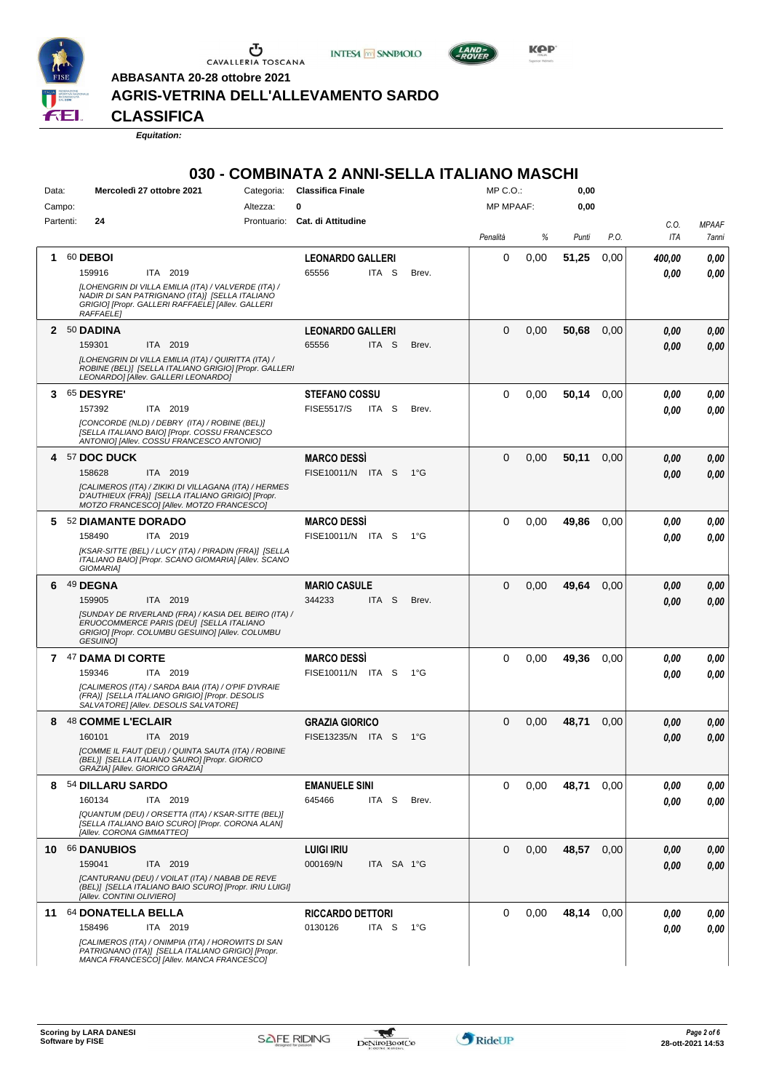

 $\begin{array}{c}\n\bullet \\
\bullet \\
\bullet \\
\bullet \\
\bullet\n\end{array}$  CAVALLERIA TOSCANA





**ABBASANTA 20-28 ottobre 2021**

## **AGRIS-VETRINA DELL'ALLEVAMENTO SARDO**

**CLASSIFICA**

*Equitation:*

#### **030 - COMBINATA 2 ANNI-SELLA ITALIANO MASCHI**

| Data:        | Mercoledì 27 ottobre 2021<br>Categoria:                                                                                                | <b>Classifica Finale</b>            | MP C.O.:            | 0,00          |                      |
|--------------|----------------------------------------------------------------------------------------------------------------------------------------|-------------------------------------|---------------------|---------------|----------------------|
| Campo:       | Altezza:                                                                                                                               | 0                                   | <b>MP MPAAF:</b>    | 0,00          |                      |
| Partenti:    | 24                                                                                                                                     | Prontuario: Cat. di Attitudine      |                     |               | C.O.<br><b>MPAAF</b> |
|              |                                                                                                                                        |                                     | %<br>Penalità       | P.O.<br>Punti | ITA<br>7anni         |
| 1            | 60 DEBOI                                                                                                                               | <b>LEONARDO GALLERI</b>             | 0                   |               |                      |
|              | ITA 2019<br>159916                                                                                                                     | 65556<br>ITA S<br>Brev.             | 0,00                | 51,25<br>0,00 | 400,00<br>0,00       |
|              | [LOHENGRIN DI VILLA EMILIA (ITA) / VALVERDE (ITA) /                                                                                    |                                     |                     |               | 0.00<br>0,00         |
|              | NADIR DI SAN PATRIGNANO (ITA)] [SELLA ITALIANO                                                                                         |                                     |                     |               |                      |
|              | GRIGIO] [Propr. GALLERI RAFFAELE] [Allev. GALLERI<br><b>RAFFAELE</b>                                                                   |                                     |                     |               |                      |
| $\mathbf{2}$ | 50 DADINA                                                                                                                              | <b>LEONARDO GALLERI</b>             | $\Omega$<br>0,00    | 50,68<br>0.00 | 0.00<br>0,00         |
|              | 159301<br>ITA 2019                                                                                                                     | 65556<br>ITA <sub>S</sub><br>Brev.  |                     |               |                      |
|              | [LOHENGRIN DI VILLA EMILIA (ITA) / QUIRITTA (ITA) /                                                                                    |                                     |                     |               | 0,00<br>0.00         |
|              | ROBINE (BEL)] [SELLA ITALIANO GRIGIO] [Propr. GALLERI<br>LEONARDO] [Allev. GALLERI LEONARDO]                                           |                                     |                     |               |                      |
| 3.           | <b>65 DESYRE'</b>                                                                                                                      | <b>STEFANO COSSU</b>                | $\Omega$<br>0,00    | 50,14<br>0.00 | 0,00<br>0,00         |
|              | 157392<br>ITA 2019                                                                                                                     | <b>FISE5517/S</b><br>ITA S<br>Brev. |                     |               | 0.00<br>0.00         |
|              | [CONCORDE (NLD) / DEBRY (ITA) / ROBINE (BEL)]<br>[SELLA ITALIANO BAIO] [Propr. COSSU FRANCESCO                                         |                                     |                     |               |                      |
|              | ANTONIO] [Allev. COSSU FRANCESCO ANTONIO]                                                                                              |                                     |                     |               |                      |
| 4            | 57 DOC DUCK                                                                                                                            | <b>MARCO DESSI</b>                  | $\Omega$<br>0,00    | 50,11<br>0.00 | 0.00<br>0,00         |
|              | ITA 2019<br>158628                                                                                                                     | FISE10011/N ITA S<br>$1^{\circ}G$   |                     |               | 0.00<br>0.00         |
|              | [CALIMEROS (ITA) / ZIKIKI DI VILLAGANA (ITA) / HERMES                                                                                  |                                     |                     |               |                      |
|              | D'AUTHIEUX (FRA)] [SELLA ITALIANO GRIGIO] [Propr.<br>MOTZO FRANCESCO] [Allev. MOTZO FRANCESCO]                                         |                                     |                     |               |                      |
| 5            | 52 DIAMANTE DORADO                                                                                                                     | <b>MARCO DESSI</b>                  | $\Omega$<br>0,00    | 49,86<br>0,00 | 0.00<br>0,00         |
|              | 158490<br>ITA 2019                                                                                                                     | FISE10011/N ITA S<br>$1^{\circ}G$   |                     |               | 0.00<br>0.00         |
|              | [KSAR-SITTE (BEL) / LUCY (ITA) / PIRADIN (FRA)] [SELLA                                                                                 |                                     |                     |               |                      |
|              | ITALIANO BAIO] [Propr. SCANO GIOMARIA] [Allev. SCANO<br>GIOMARIA]                                                                      |                                     |                     |               |                      |
| 6            | 49 DEGNA                                                                                                                               | <b>MARIO CASULE</b>                 | $\Omega$<br>0,00    | 49,64<br>0,00 | 0.00<br>0,00         |
|              | 159905<br>ITA 2019                                                                                                                     | 344233<br>ITA <sub>S</sub><br>Brev. |                     |               | 0.00<br>0.00         |
|              | [SUNDAY DE RIVERLAND (FRA) / KASIA DEL BEIRO (ITA) /                                                                                   |                                     |                     |               |                      |
|              | ERUOCOMMERCE PARIS (DEU) [SELLA ITALIANO<br>GRIGIO] [Propr. COLUMBU GESUINO] [Allev. COLUMBU                                           |                                     |                     |               |                      |
|              | <b>GESUINO1</b>                                                                                                                        |                                     |                     |               |                      |
|              | 7 47 DAMA DI CORTE                                                                                                                     | <b>MARCO DESSI</b>                  | $\Omega$<br>0,00    | 49,36<br>0.00 | 0.00<br>0,00         |
|              | ITA 2019<br>159346                                                                                                                     | FISE10011/N ITA S<br>$1^{\circ}G$   |                     |               | 0.00<br>0.00         |
|              | [CALIMEROS (ITA) / SARDA BAIA (ITA) / O'PIF D'IVRAIE                                                                                   |                                     |                     |               |                      |
|              | (FRA)] [SELLA ITALIANO GRIGIO] [Propr. DESOLIS<br>SALVATORE] [Allev. DESOLIS SALVATORE]                                                |                                     |                     |               |                      |
| 8            | 48 COMME L'ECLAIR                                                                                                                      | <b>GRAZIA GIORICO</b>               | $\Omega$<br>0,00    | 48,71<br>0,00 | 0,00<br>0,00         |
|              | 160101<br>ITA 2019                                                                                                                     | FISE13235/N ITA S<br>$1^{\circ}G$   |                     |               | 0.00<br>0.00         |
|              | [COMME IL FAUT (DEU) / QUINTA SAUTA (ITA) / ROBINE<br>(BEL)] [SELLA ITALIANO SAURO] [Propr. GIORICO<br>GRAZIA] [Allev. GIORICO GRAZIA] |                                     |                     |               |                      |
| 8            | 54 DILLARU SARDO                                                                                                                       | <b>EMANUELE SINI</b>                | 0<br>0,00           | 48,71<br>0,00 | 0.00<br>0,00         |
|              | 160134<br>ITA 2019                                                                                                                     | 645466<br>ITA S<br>Brev.            |                     |               | 0,00<br>0.00         |
|              | [QUANTUM (DEU) / ORSETTA (ITA) / KSAR-SITTE (BEL)]                                                                                     |                                     |                     |               |                      |
|              | [SELLA ITALIANO BAIO SCURO] [Propr. CORONA ALAN]<br>[Allev. CORONA GIMMATTEO]                                                          |                                     |                     |               |                      |
| 10           | 66 DANUBIOS                                                                                                                            | <b>LUIGI IRIU</b>                   | $\mathbf 0$<br>0,00 | 48,57<br>0,00 | 0.00<br>0,00         |
|              | 159041<br>ITA 2019                                                                                                                     | 000169/N<br>ITA SA 1°G              |                     |               | 0,00<br>0.00         |
|              | [CANTURANU (DEU) / VOILAT (ITA) / NABAB DE REVE                                                                                        |                                     |                     |               |                      |
|              | (BEL)] [SELLA ITALIANO BAIO SCURO] [Propr. IRIU LUIGI]<br>[Allev. CONTINI OLIVIERO]                                                    |                                     |                     |               |                      |
| 11           | 64 DONATELLA BELLA                                                                                                                     | <b>RICCARDO DETTORI</b>             | $\Omega$<br>0,00    | 48,14<br>0,00 | 0.00                 |
|              | 158496<br>ITA 2019                                                                                                                     | 0130126<br>ITA S<br>1°G             |                     |               | 0,00                 |
|              | [CALIMEROS (ITA) / ONIMPIA (ITA) / HOROWITS DI SAN                                                                                     |                                     |                     |               | 0,00<br>0,00         |
|              | PATRIGNANO (ITA)] [SELLA ITALIANO GRIGIO] [Propr.                                                                                      |                                     |                     |               |                      |
|              | MANCA FRANCESCO] [Allev. MANCA FRANCESCO]                                                                                              |                                     |                     |               |                      |

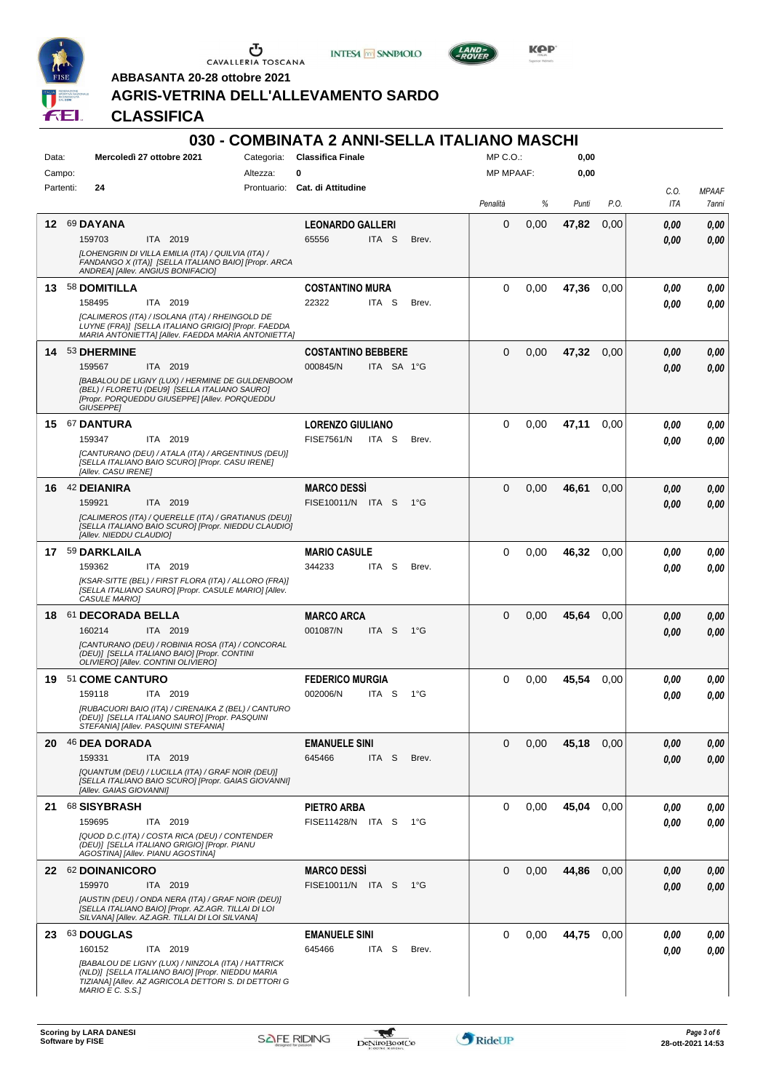

 $\begin{array}{c}\n\bullet \\
\bullet \\
\bullet \\
\bullet\n\end{array}$  CAVALLERIA TOSCANA

**INTESA M** SANPAOLO



**Kep** 

**ABBASANTA 20-28 ottobre 2021 AGRIS-VETRINA DELL'ALLEVAMENTO SARDO**

**CLASSIFICA**

|           |                                                                                                                                                                                        |            | 030 - COMBINATA 2 ANNI-SELLA ITALIANO MASCHI  |                  |      |       |      |             |                       |
|-----------|----------------------------------------------------------------------------------------------------------------------------------------------------------------------------------------|------------|-----------------------------------------------|------------------|------|-------|------|-------------|-----------------------|
| Data:     | Mercoledì 27 ottobre 2021                                                                                                                                                              | Categoria: | <b>Classifica Finale</b>                      | $MP C. O.$ :     |      | 0,00  |      |             |                       |
| Campo:    |                                                                                                                                                                                        | Altezza:   | 0                                             | <b>MP MPAAF:</b> |      | 0,00  |      |             |                       |
| Partenti: | 24                                                                                                                                                                                     |            | Prontuario: Cat. di Attitudine                | Penalità         | %    | Punti | P.O. | C.O.<br>ITA | <b>MPAAF</b><br>7anni |
| 12        | 69 DAYANA                                                                                                                                                                              |            | <b>LEONARDO GALLERI</b>                       | 0                | 0,00 | 47,82 | 0,00 | 0,00        | 0,00                  |
|           | 159703<br>ITA 2019                                                                                                                                                                     |            | 65556<br>ITA S<br>Brev.                       |                  |      |       |      | 0.00        | 0.00                  |
|           | [LOHENGRIN DI VILLA EMILIA (ITA) / QUILVIA (ITA) /<br>FANDANGO X (ITA)] [SELLA ITALIANO BAIO] [Propr. ARCA<br>ANDREAI [Allev. ANGIUS BONIFACIO]                                        |            |                                               |                  |      |       |      |             |                       |
| 13        | 58 DOMITILLA                                                                                                                                                                           |            | <b>COSTANTINO MURA</b>                        | $\Omega$         | 0,00 | 47,36 | 0.00 | 0.00        | 0.00                  |
|           | ITA 2019<br>158495<br>[CALIMEROS (ITA) / ISOLANA (ITA) / RHEINGOLD DE<br>LUYNE (FRA)] [SELLA ITALIANO GRIGIO] [Propr. FAEDDA<br>MARIA ANTONIETTA] [Allev. FAEDDA MARIA ANTONIETTA]     |            | 22322<br>ITA <sub>S</sub><br>Brev.            |                  |      |       |      | 0.00        | 0.00                  |
|           | 14 53 DHERMINE                                                                                                                                                                         |            | <b>COSTANTINO BEBBERE</b>                     | $\Omega$         | 0,00 | 47.32 | 0.00 | 0,00        | 0,00                  |
|           | ITA 2019<br>159567                                                                                                                                                                     |            | ITA SA 1°G<br>000845/N                        |                  |      |       |      | 0.00        | 0.00                  |
|           | [BABALOU DE LIGNY (LUX) / HERMINE DE GULDENBOOM<br>(BEL) / FLORETU (DEU9] [SELLA ITALIANO SAURO]<br>[Propr. PORQUEDDU GIUSEPPE] [Allev. PORQUEDDU<br><b>GIUSEPPE]</b>                  |            |                                               |                  |      |       |      |             |                       |
|           | 15 67 DANTURA                                                                                                                                                                          |            | <b>LORENZO GIULIANO</b>                       | $\Omega$         | 0,00 | 47,11 | 0.00 | 0.00        | 0,00                  |
|           | 159347<br>ITA 2019                                                                                                                                                                     |            | <b>FISE7561/N</b><br>ITA S<br>Brev.           |                  |      |       |      | 0.00        | 0.00                  |
|           | [CANTURANO (DEU) / ATALA (ITA) / ARGENTINUS (DEU)]<br>[SELLA ITALIANO BAIO SCURO] [Propr. CASU IRENE]<br>[Allev. CASU IRENE]                                                           |            |                                               |                  |      |       |      |             |                       |
|           | 16 42 DEIANIRA                                                                                                                                                                         |            | <b>MARCO DESSI</b>                            | $\Omega$         | 0,00 | 46,61 | 0.00 | 0,00        | 0,00                  |
|           | 159921<br>ITA 2019                                                                                                                                                                     |            | FISE10011/N ITA S<br>$1^{\circ}G$             |                  |      |       |      | 0.00        | 0.00                  |
|           | [CALIMEROS (ITA) / QUERELLE (ITA) / GRATIANUS (DEU)]<br>[SELLA ITALIANO BAIO SCURO] [Propr. NIEDDU CLAUDIO]<br>[Allev. NIEDDU CLAUDIO]                                                 |            |                                               |                  |      |       |      |             |                       |
|           | 17 59 DARKLAILA                                                                                                                                                                        |            | <b>MARIO CASULE</b>                           | $\Omega$         | 0,00 | 46,32 | 0.00 | 0.00        | 0,00                  |
|           | 159362<br>ITA 2019                                                                                                                                                                     |            | 344233<br>ITA I<br>S<br>Brev.                 |                  |      |       |      | 0.00        | 0.00                  |
|           | [KSAR-SITTE (BEL) / FIRST FLORA (ITA) / ALLORO (FRA)]<br>[SELLA ITALIANO SAURO] [Propr. CASULE MARIO] [Allev.<br>CASULE MARIO]                                                         |            |                                               |                  |      |       |      |             |                       |
| 18        | 61 DECORADA BELLA                                                                                                                                                                      |            | <b>MARCO ARCA</b>                             | $\Omega$         | 0,00 | 45,64 | 0.00 | 0,00        | 0,00                  |
|           | 160214<br>ITA 2019<br>[CANTURANO (DEU) / ROBINIA ROSA (ITA) / CONCORAL<br>(DEU)] [SELLA ITALIANO BAIO] [Propr. CONTINI<br>OLIVIERO] [Allev. CONTINI OLIVIERO]                          |            | 001087/N<br>ITA <sub>S</sub><br>$1^{\circ}$ G |                  |      |       |      | 0.00        | 0.00                  |
| 19.       | 51 COME CANTURO                                                                                                                                                                        |            | <b>FEDERICO MURGIA</b>                        | $\Omega$         | 0,00 | 45,54 | 0,00 | 0.00        | 0,00                  |
|           | 159118<br>ITA 2019                                                                                                                                                                     |            | 002006/N<br>$1^{\circ}G$<br>ITA S             |                  |      |       |      | 0.00        | 0.00                  |
|           | [RUBACUORI BAIO (ITA) / CIRENAIKA Z (BEL) / CANTURO<br>(DEU)] [SELLA ITALIANO SAURO] [Propr. PASQUINI<br>STEFANIA] [Allev. PASQUINI STEFANIA]                                          |            |                                               |                  |      |       |      |             |                       |
|           | 20 46 DEA DORADA                                                                                                                                                                       |            | <b>EMANUELE SINI</b>                          | 0                | 0,00 | 45,18 | 0,00 | 0,00        | 0,00                  |
|           | 159331<br>ITA 2019                                                                                                                                                                     |            | 645466<br>ITA <sub>S</sub><br>Brev.           |                  |      |       |      | 0.00        | 0,00                  |
|           | [QUANTUM (DEU) / LUCILLA (ITA) / GRAF NOIR (DEU)]<br>[SELLA ITALIANO BAIO SCURO] [Propr. GAIAS GIOVANNI]<br>[Allev. GAIAS GIOVANNI]                                                    |            |                                               |                  |      |       |      |             |                       |
|           | 21 68 SISYBRASH                                                                                                                                                                        |            | <b>PIETRO ARBA</b>                            | $\Omega$         | 0,00 | 45,04 | 0.00 | 0,00        | 0,00                  |
|           | 159695<br>ITA 2019                                                                                                                                                                     |            | FISE11428/N ITA S<br>1°G                      |                  |      |       |      | 0.00        | 0.00                  |
|           | [QUOD D.C.(ITA) / COSTA RICA (DEU) / CONTENDER<br>(DEU)] [SELLA ITALIANO GRIGIO] [Propr. PIANU<br>AGOSTINA] [Allev. PIANU AGOSTINA]                                                    |            |                                               |                  |      |       |      |             |                       |
|           | 22 62 DOINANICORO                                                                                                                                                                      |            | <b>MARCO DESSI</b>                            | $\Omega$         | 0,00 | 44,86 | 0.00 | 0,00        | 0,00                  |
|           | 159970<br>ITA 2019                                                                                                                                                                     |            | FISE10011/N ITA S 1°G                         |                  |      |       |      | 0.00        | 0,00                  |
|           | [AUSTIN (DEU) / ONDA NERA (ITA) / GRAF NOIR (DEU)]<br>[SELLA ITALIANO BAIO] [Propr. AZ.AGR. TILLAI DI LOI<br>SILVANA] [Allev. AZ.AGR. TILLAI DI LOI SILVANA]                           |            |                                               |                  |      |       |      |             |                       |
|           | 23 63 DOUGLAS                                                                                                                                                                          |            | <b>EMANUELE SINI</b>                          | $\Omega$         | 0,00 | 44,75 | 0,00 | 0,00        | 0,00                  |
|           | 160152<br>ITA 2019                                                                                                                                                                     |            | 645466<br>ITA S<br>Brev.                      |                  |      |       |      | 0,00        | 0.00                  |
|           | [BABALOU DE LIGNY (LUX) / NINZOLA (ITA) / HATTRICK<br>(NLD)] [SELLA ITALIANO BAIO] [Propr. NIEDDU MARIA<br>TIZIANA] [Allev. AZ AGRICOLA DETTORI S. DI DETTORI G<br>$MARIO E C. S.S.$ ] |            |                                               |                  |      |       |      |             |                       |

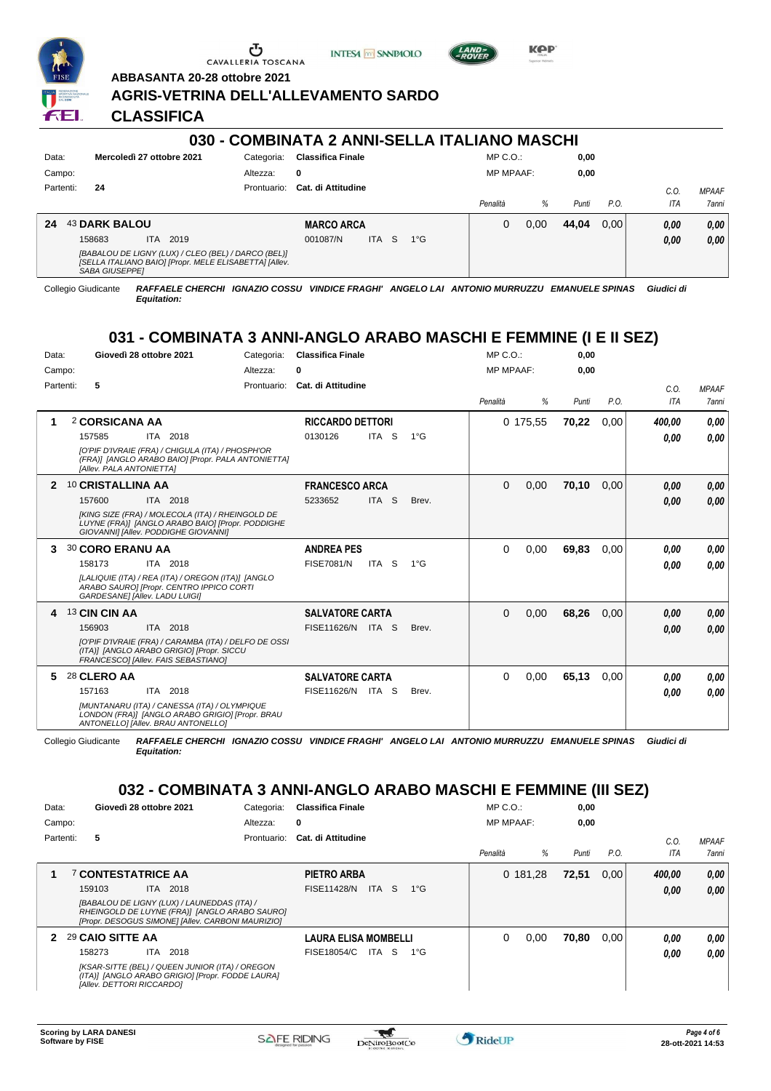

Ⴠ CAVALLERIA TOSCANA





**KPP** 

**ABBASANTA 20-28 ottobre 2021**

#### **AGRIS-VETRINA DELL'ALLEVAMENTO SARDO**

**CLASSIFICA**

#### **030 - COMBINATA 2 ANNI-SELLA ITALIANO MASCHI** Data: **Mercoledì 27 ottobre 2021** Categoria: Classifica Finale Prontuario: **Cat. di Attitudine** Campo: Partenti: **24** Altezza: **0** MP C.O.: MP MPAAF: **0,00 0,00** *Penalità % Punti P.O. C.O. ITA MPAAF 7anni* **24** 43 **DARK BALOU** ITA 2019 **MARCO ARCA** *[BABALOU DE LIGNY (LUX) / CLEO (BEL) / DARCO (BEL)] [SELLA ITALIANO BAIO] [Propr. MELE ELISABETTA] [Allev. SABA GIUSEPPE]* ITA S 1°G 0 0,00 **44,04** 0,00 *0,00 0,00 0,00* 158683 ITA 2019 001087/N ITA S 1°G <mark> *0,00 0,00*</mark>

Collegio Giudicante *RAFFAELE CHERCHI IGNAZIO COSSU VINDICE FRAGHI' ANGELO LAI ANTONIO MURRUZZU EMANUELE SPINAS Giudici di Equitation:*

# **031 - COMBINATA 3 ANNI-ANGLO ARABO MASCHI E FEMMINE (I E II SEZ)**

| Data:     | Giovedì 28 ottobre 2021                                                                                                                      | Categoria:    | <b>Classifica Finale</b>  |                  |               | $MP C. O.$ :     |          | 0,00  |      |             |                       |
|-----------|----------------------------------------------------------------------------------------------------------------------------------------------|---------------|---------------------------|------------------|---------------|------------------|----------|-------|------|-------------|-----------------------|
| Campo:    |                                                                                                                                              | Altezza:<br>0 |                           |                  |               | <b>MP MPAAF:</b> |          | 0,00  |      |             |                       |
| Partenti: | 5                                                                                                                                            | Prontuario:   | <b>Cat. di Attitudine</b> |                  |               | Penalità         | %        | Punti | P.O. | C.0.<br>ITA | <b>MPAAF</b><br>7anni |
| 1         | 2 CORSICANA AA                                                                                                                               |               | <b>RICCARDO DETTORI</b>   |                  |               |                  | 0 175,55 | 70,22 | 0,00 | 400.00      | 0,00                  |
|           | ITA 2018<br>157585                                                                                                                           | 0130126       |                           | ITA <sub>S</sub> | $1^{\circ}$ G |                  |          |       |      | 0.00        | 0.00                  |
|           | [O'PIF D'IVRAIE (FRA) / CHIGULA (ITA) / PHOSPH'OR<br>(FRA)] [ANGLO ARABO BAIO] [Propr. PALA ANTONIETTA]<br>[Allev. PALA ANTONIETTA]          |               |                           |                  |               |                  |          |       |      |             |                       |
| 2         | 10 CRISTALLINA AA                                                                                                                            |               | <b>FRANCESCO ARCA</b>     |                  |               | $\Omega$         | 0,00     | 70,10 | 0.00 | 0.00        | 0,00                  |
|           | 157600<br>ITA 2018                                                                                                                           |               | 5233652                   | ITA S            | Brev.         |                  |          |       |      | 0,00        | 0,00                  |
|           | [KING SIZE (FRA) / MOLECOLA (ITA) / RHEINGOLD DE<br>LUYNE (FRA)] [ANGLO ARABO BAIO] [Propr. PODDIGHE<br>GIOVANNII [Allev. PODDIGHE GIOVANNI] |               |                           |                  |               |                  |          |       |      |             |                       |
| 3         | <b>30 CORO ERANU AA</b>                                                                                                                      |               | <b>ANDREA PES</b>         |                  |               | 0                | 0,00     | 69,83 | 0,00 | 0,00        | 0.00                  |
|           | 158173<br>ITA 2018                                                                                                                           |               | <b>FISE7081/N</b>         | ITA S            | $1^{\circ}G$  |                  |          |       |      | 0.00        | 0.00                  |
|           | [LALIQUIE (ITA) / REA (ITA) / OREGON (ITA)] [ANGLO<br>ARABO SAURO] [Propr. CENTRO IPPICO CORTI<br>GARDESANE] [Allev. LADU LUIGI]             |               |                           |                  |               |                  |          |       |      |             |                       |
| 4         | 13 CIN CIN AA                                                                                                                                |               | <b>SALVATORE CARTA</b>    |                  |               | 0                | 0,00     | 68,26 | 0.00 | 0.00        | 0,00                  |
|           | 156903<br>ITA 2018                                                                                                                           |               | FISE11626/N ITA S         |                  | Brev.         |                  |          |       |      | 0,00        | 0.00                  |
|           | [O'PIF D'IVRAIE (FRA) / CARAMBA (ITA) / DELFO DE OSSI<br>(ITA)] [ANGLO ARABO GRIGIO] [Propr. SICCU<br>FRANCESCOI [Allev. FAIS SEBASTIANO]    |               |                           |                  |               |                  |          |       |      |             |                       |
| 5         | 28 CLERO AA                                                                                                                                  |               | <b>SALVATORE CARTA</b>    |                  |               | 0                | 0,00     | 65,13 | 0.00 | 0,00        | 0.00                  |
|           | 157163<br>ITA 2018                                                                                                                           |               | FISE11626/N ITA S         |                  | Brev.         |                  |          |       |      | 0,00        | 0.00                  |
|           | [MUNTANARU (ITA) / CANESSA (ITA) / OLYMPIQUE<br>LONDON (FRA)] [ANGLO ARABO GRIGIO] [Propr. BRAU<br>ANTONELLOI [Allev. BRAU ANTONELLO]        |               |                           |                  |               |                  |          |       |      |             |                       |

*Equitation:*

Collegio Giudicante *RAFFAELE CHERCHI IGNAZIO COSSU VINDICE FRAGHI' ANGELO LAI ANTONIO MURRUZZU EMANUELE SPINAS Giudici di*

# **032 - COMBINATA 3 ANNI-ANGLO ARABO MASCHI E FEMMINE (III SEZ)**

| Data:        | Giovedì 28 ottobre 2021   |                                                                                                                                                   | Categoria:  | <b>Classifica Finale</b>    |             |              | $MP C. O.$ :     |          | 0,00  |      |        |                     |
|--------------|---------------------------|---------------------------------------------------------------------------------------------------------------------------------------------------|-------------|-----------------------------|-------------|--------------|------------------|----------|-------|------|--------|---------------------|
| Campo:       |                           |                                                                                                                                                   | Altezza:    | 0                           |             |              | <b>MP MPAAF:</b> |          | 0,00  |      |        |                     |
| Partenti:    | 5                         |                                                                                                                                                   | Prontuario: | Cat. di Attitudine          |             |              |                  |          |       |      | C.0    | <b>MPAAF</b>        |
|              |                           |                                                                                                                                                   |             |                             |             |              | Penalità         | %        | Punti | P.O. | ITA    | <i><b>7anni</b></i> |
|              | <b>7 CONTESTATRICE AA</b> |                                                                                                                                                   |             | PIETRO ARBA                 |             |              |                  | 0 181,28 | 72,51 | 0.00 | 400,00 | 0,00                |
|              | 159103                    | ITA 2018                                                                                                                                          |             | <b>FISE11428/N</b>          | ITA I<br>-S | $1^{\circ}G$ |                  |          |       |      | 0,00   | 0.00                |
|              |                           | [BABALOU DE LIGNY (LUX) / LAUNEDDAS (ITA) /<br>RHEINGOLD DE LUYNE (FRA)] [ANGLO ARABO SAURO]<br>[Propr. DESOGUS SIMONE] [Allev. CARBONI MAURIZIO] |             |                             |             |              |                  |          |       |      |        |                     |
| $\mathbf{2}$ | 29 CAIO SITTE AA          |                                                                                                                                                   |             | <b>LAURA ELISA MOMBELLI</b> |             |              | 0                | 0,00     | 70.80 | 0.00 | 0.00   | 0.00                |
|              | 158273                    | ITA 2018                                                                                                                                          |             | FISE18054/C                 | ITA S       | $1^{\circ}G$ |                  |          |       |      | 0.00   | 0.00                |
|              | [Allev. DETTORI RICCARDO] | [KSAR-SITTE (BEL) / QUEEN JUNIOR (ITA) / OREGON<br>(ITA)] [ANGLO ARABO GRIGIO] [Propr. FODDE LAURA]                                               |             |                             |             |              |                  |          |       |      |        |                     |

 $\mathcal{L}$ 

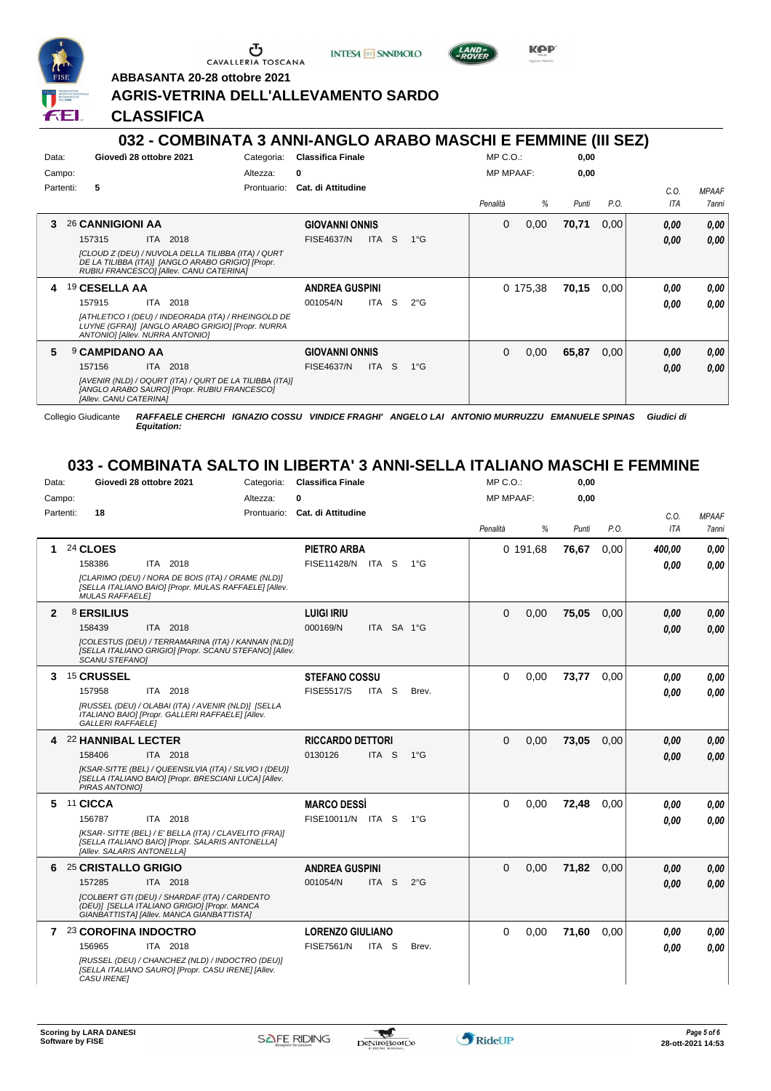

 $\sigma$   $\sigma$ 

**INTESA** M SANPAOLO



**Kep** 

**ABBASANTA 20-28 ottobre 2021**

# **AGRIS-VETRINA DELL'ALLEVAMENTO SARDO**

**CLASSIFICA**

## **032 - COMBINATA 3 ANNI-ANGLO ARABO MASCHI E FEMMINE (III SEZ)**

|                | <u> UJZ - COMDINATA J ANNI-ANGLO ANADO MAJONI E FEMIMINE (III JEZ)</u>                                                                             |             |                          |            |    |               |                  |          |       |      |      |              |
|----------------|----------------------------------------------------------------------------------------------------------------------------------------------------|-------------|--------------------------|------------|----|---------------|------------------|----------|-------|------|------|--------------|
| Data:          | Giovedì 28 ottobre 2021                                                                                                                            | Categoria:  | <b>Classifica Finale</b> |            |    |               | $MP C. O.$ :     |          | 0,00  |      |      |              |
|                | Campo:                                                                                                                                             | Altezza:    | 0                        |            |    |               | <b>MP MPAAF:</b> |          | 0,00  |      |      |              |
|                | Partenti:<br>5                                                                                                                                     | Prontuario: | Cat. di Attitudine       |            |    |               |                  |          |       |      | C.O. | <b>MPAAF</b> |
|                |                                                                                                                                                    |             |                          |            |    |               | Penalità         | %        | Punti | P.O. | ITA  | 7anni        |
| 3              | 26 CANNIGIONI AA                                                                                                                                   |             | <b>GIOVANNI ONNIS</b>    |            |    |               | 0                | 0,00     | 70,71 | 0,00 | 0,00 | 0,00         |
|                | 157315<br>ITA 2018                                                                                                                                 |             | <b>FISE4637/N</b>        | ITA I      | S. | 1°G           |                  |          |       |      | 0.00 | 0.00         |
|                | [CLOUD Z (DEU) / NUVOLA DELLA TILIBBA (ITA) / QURT<br>DE LA TILIBBA (ITA)] [ANGLO ARABO GRIGIO] [Propr.<br>RUBIU FRANCESCOI [Allev. CANU CATERINA] |             |                          |            |    |               |                  |          |       |      |      |              |
| $\overline{4}$ | 19 CESELLA AA                                                                                                                                      |             | <b>ANDREA GUSPINI</b>    |            |    |               |                  | 0 175,38 | 70,15 | 0,00 | 0.00 | 0,00         |
|                | ITA 2018<br>157915                                                                                                                                 |             | 001054/N                 | ITA.       | S. | $2^{\circ}$ G |                  |          |       |      | 0.00 | 0.00         |
|                | [ATHLETICO I (DEU) / INDEORADA (ITA) / RHEINGOLD DE<br>LUYNE (GFRA)] [ANGLO ARABO GRIGIO] [Propr. NURRA<br>ANTONIO] [Allev. NURRA ANTONIO]         |             |                          |            |    |               |                  |          |       |      |      |              |
| 5              | <b>9 CAMPIDANO AA</b>                                                                                                                              |             | <b>GIOVANNI ONNIS</b>    |            |    |               | 0                | 0,00     | 65,87 | 0,00 | 0,00 | 0,00         |
|                | ITA 2018<br>157156                                                                                                                                 |             | <b>FISE4637/N</b>        | <b>ITA</b> | -S | 1°G           |                  |          |       |      | 0.00 | 0.00         |
|                | [AVENIR (NLD) / OQURT (ITA) / QURT DE LA TILIBBA (ITA)]<br>[ANGLO ARABO SAURO] [Propr. RUBIU FRANCESCO]<br>[Allev. CANU CATERINA]                  |             |                          |            |    |               |                  |          |       |      |      |              |

Collegio Giudicante *RAFFAELE CHERCHI IGNAZIO COSSU VINDICE FRAGHI' ANGELO LAI ANTONIO MURRUZZU EMANUELE SPINAS Giudici di*

*Equitation:*

#### **033 - COMBINATA SALTO IN LIBERTA' 3 ANNI-SELLA ITALIANO MASCHI E FEMMINE**

| Data:        | Giovedì 28 ottobre 2021<br>Categoria:                                                                                                      | <b>Classifica Finale</b>                      | $MP C. O.$ :     | 0,00          |                            |
|--------------|--------------------------------------------------------------------------------------------------------------------------------------------|-----------------------------------------------|------------------|---------------|----------------------------|
| Campo:       | Altezza:                                                                                                                                   | O                                             | <b>MP MPAAF:</b> | 0,00          |                            |
|              | 18<br>Partenti:                                                                                                                            | Prontuario: Cat. di Attitudine                |                  |               | C.O.<br><b>MPAAF</b>       |
|              |                                                                                                                                            |                                               | %<br>Penalità    | P.O.<br>Punti | <b>ITA</b><br><b>7anni</b> |
| 1            | 24 CLOES                                                                                                                                   | <b>PIETRO ARBA</b>                            | 0 191,68         | 76,67<br>0.00 | 0.00<br>400,00             |
|              | ITA 2018<br>158386                                                                                                                         | FISE11428/N ITA S<br>$1^{\circ}G$             |                  |               | 0.00<br>0.00               |
|              | [CLARIMO (DEU) / NORA DE BOIS (ITA) / ORAME (NLD)]<br>[SELLA ITALIANO BAIO] [Propr. MULAS RAFFAELE] [Allev.<br><b>MULAS RAFFAELEI</b>      |                                               |                  |               |                            |
| $\mathbf{2}$ | 8 ERSILIUS                                                                                                                                 | <b>LUIGI IRIU</b>                             | 0,00<br>$\Omega$ | 75,05<br>0.00 | 0.00<br>0,00               |
|              | ITA 2018<br>158439                                                                                                                         | ITA SA 1°G<br>000169/N                        |                  |               | 0.00<br>0.00               |
|              | [COLESTUS (DEU) / TERRAMARINA (ITA) / KANNAN (NLD)]<br>[SELLA ITALIANO GRIGIO] [Propr. SCANU STEFANO] [Allev.<br><b>SCANU STEFANOI</b>     |                                               |                  |               |                            |
|              | 3 15 CRUSSEL                                                                                                                               | <b>STEFANO COSSU</b>                          | $\Omega$<br>0,00 | 73,77<br>0.00 | 0.00<br>0.00               |
|              | 157958<br>ITA 2018                                                                                                                         | <b>FISE5517/S</b><br>ITA S<br>Brev.           |                  |               | 0.00<br>0.00               |
|              | [RUSSEL (DEU) / OLABAI (ITA) / AVENIR (NLD)] [SELLA<br>ITALIANO BAIO] [Propr. GALLERI RAFFAELE] [Allev.<br><b>GALLERI RAFFAELEI</b>        |                                               |                  |               |                            |
| 4            | <b>22 HANNIBAL LECTER</b>                                                                                                                  | <b>RICCARDO DETTORI</b>                       | $\Omega$<br>0,00 | 73,05<br>0,00 | 0,00<br>0,00               |
|              | 158406<br>ITA 2018                                                                                                                         | 0130126<br>ITA <sub>S</sub><br>$1^{\circ}G$   |                  |               | 0.00<br>0.00               |
|              | [KSAR-SITTE (BEL) / QUEENSILVIA (ITA) / SILVIO I (DEU)]<br>[SELLA ITALIANO BAIO] [Propr. BRESCIANI LUCA] [Allev.<br>PIRAS ANTONIO]         |                                               |                  |               |                            |
|              | 5 11 CICCA                                                                                                                                 | <b>MARCO DESSI</b>                            | $\Omega$<br>0,00 | 72,48<br>0.00 | 0.00<br>0,00               |
|              | 156787<br>ITA 2018                                                                                                                         | FISE10011/N ITA S<br>$1^{\circ}G$             |                  |               | 0.00<br>0.00               |
|              | [KSAR- SITTE (BEL) / E' BELLA (ITA) / CLAVELITO (FRA)]<br>[SELLA ITALIANO BAIO] [Propr. SALARIS ANTONELLA]<br>[Allev. SALARIS ANTONELLA]   |                                               |                  |               |                            |
| 6            | 25 CRISTALLO GRIGIO                                                                                                                        | <b>ANDREA GUSPINI</b>                         | $\Omega$<br>0,00 | 71,82<br>0.00 | 0.00<br>0,00               |
|              | 157285<br>ITA 2018                                                                                                                         | 001054/N<br>ITA <sub>S</sub><br>$2^{\circ}$ G |                  |               | 0,00<br>0.00               |
|              | [COLBERT GTI (DEU) / SHARDAF (ITA) / CARDENTO<br>(DEU)] [SELLA ITALIANO GRIGIO] [Propr. MANCA<br>GIANBATTISTA] [Allev. MANCA GIANBATTISTA] |                                               |                  |               |                            |
| $\mathbf{7}$ | 23 COROFINA INDOCTRO                                                                                                                       | <b>LORENZO GIULIANO</b>                       | $\Omega$<br>0.00 | 71.60<br>0.00 | 0,00<br>0.00               |
|              | 156965<br>ITA 2018                                                                                                                         | <b>FISE7561/N</b><br>ITA S<br>Brev.           |                  |               | 0.00<br>0.00               |
|              | [RUSSEL (DEU) / CHANCHEZ (NLD) / INDOCTRO (DEU)]<br>[SELLA ITALIANO SAURO] [Propr. CASU IRENE] [Allev.<br>CASU IRENE]                      |                                               |                  |               |                            |



 $\mathcal{L}$